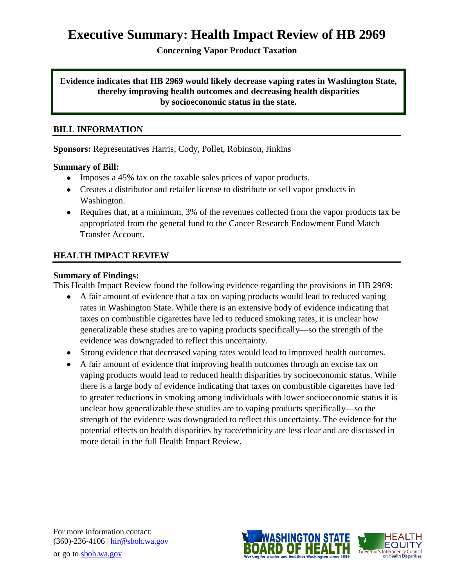# **Executive Summary: Health Impact Review of HB 2969**

**Concerning Vapor Product Taxation**

#### **Evidence indicates that HB 2969 would likely decrease vaping rates in Washington State, thereby improving health outcomes and decreasing health disparities by socioeconomic status in the state.**

#### **BILL INFORMATION**

**Sponsors:** Representatives [Harris,](http://www.leg.wa.gov/house/representatives/pages/default.aspx%23harris) [Cody,](http://www.leg.wa.gov/house/representatives/pages/default.aspx%23cody) [Pollet,](http://www.leg.wa.gov/house/representatives/pages/default.aspx%23pollet) [Robinson,](http://www.leg.wa.gov/house/representatives/pages/default.aspx%23robinson) [Jinkins](http://www.leg.wa.gov/house/representatives/pages/default.aspx%23jinkins)

#### **Summary of Bill:**

- Imposes a 45% tax on the taxable sales prices of vapor products.
- Creates a distributor and retailer license to distribute or sell vapor products in Washington.
- Requires that, at a minimum, 3% of the revenues collected from the vapor products tax be appropriated from the general fund to the Cancer Research Endowment Fund Match Transfer Account.

# **HEALTH IMPACT REVIEW**

#### **Summary of Findings:**

This Health Impact Review found the following evidence regarding the provisions in HB 2969:

- A fair amount of evidence that a tax on vaping products would lead to reduced vaping rates in Washington State. While there is an extensive body of evidence indicating that taxes on combustible cigarettes have led to reduced smoking rates, it is unclear how generalizable these studies are to vaping products specifically—so the strength of the evidence was downgraded to reflect this uncertainty.
- Strong evidence that decreased vaping rates would lead to improved health outcomes.
- A fair amount of evidence that improving health outcomes through an excise tax on vaping products would lead to reduced health disparities by socioeconomic status. While there is a large body of evidence indicating that taxes on combustible cigarettes have led to greater reductions in smoking among individuals with lower socioeconomic status it is unclear how generalizable these studies are to vaping products specifically—so the strength of the evidence was downgraded to reflect this uncertainty. The evidence for the potential effects on health disparities by race/ethnicity are less clear and are discussed in more detail in the full Health Impact Review.

For more information contact: (360)-236-4106 | [hir@sboh.wa.gov](mailto:hir@sboh.wa.gov) or go to [sboh.wa.gov](http://sboh.wa.gov/)

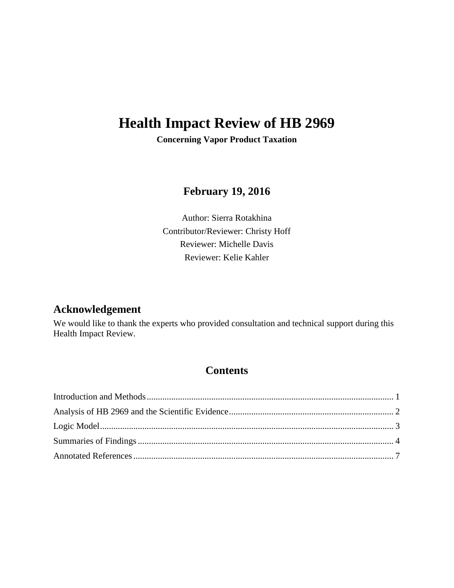# **Health Impact Review of HB 2969**

**Concerning Vapor Product Taxation**

# **February 19, 2016**

Author: Sierra Rotakhina Contributor/Reviewer: Christy Hoff Reviewer: Michelle Davis Reviewer: Kelie Kahler

# **Acknowledgement**

We would like to thank the experts who provided consultation and technical support during this Health Impact Review.

# **Contents**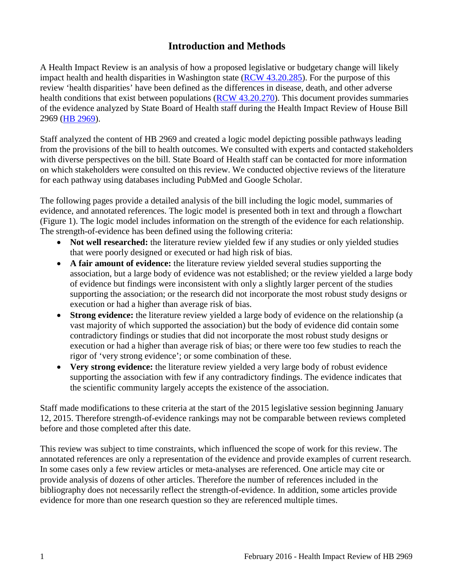# **Introduction and Methods**

<span id="page-2-0"></span>A Health Impact Review is an analysis of how a proposed legislative or budgetary change will likely impact health and health disparities in Washington state [\(RCW 43.20.285\)](http://apps.leg.wa.gov/rcw/default.aspx?cite=43.20.285). For the purpose of this review 'health disparities' have been defined as the differences in disease, death, and other adverse health conditions that exist between populations [\(RCW 43.20.270\)](http://apps.leg.wa.gov/rcw/default.aspx?cite=43.20.270). This document provides summaries of the evidence analyzed by State Board of Health staff during the Health Impact Review of House Bill 2969 [\(HB 2969\)](http://app.leg.wa.gov/billinfo/summary.aspx?bill=2969&year=2015).

Staff analyzed the content of HB 2969 and created a logic model depicting possible pathways leading from the provisions of the bill to health outcomes. We consulted with experts and contacted stakeholders with diverse perspectives on the bill. State Board of Health staff can be contacted for more information on which stakeholders were consulted on this review. We conducted objective reviews of the literature for each pathway using databases including PubMed and Google Scholar.

The following pages provide a detailed analysis of the bill including the logic model, summaries of evidence, and annotated references. The logic model is presented both in text and through a flowchart (Figure 1). The logic model includes information on the strength of the evidence for each relationship. The strength-of-evidence has been defined using the following criteria:

- **Not well researched:** the literature review yielded few if any studies or only yielded studies that were poorly designed or executed or had high risk of bias.
- **A fair amount of evidence:** the literature review yielded several studies supporting the association, but a large body of evidence was not established; or the review yielded a large body of evidence but findings were inconsistent with only a slightly larger percent of the studies supporting the association; or the research did not incorporate the most robust study designs or execution or had a higher than average risk of bias.
- **Strong evidence:** the literature review yielded a large body of evidence on the relationship (a vast majority of which supported the association) but the body of evidence did contain some contradictory findings or studies that did not incorporate the most robust study designs or execution or had a higher than average risk of bias; or there were too few studies to reach the rigor of 'very strong evidence'; or some combination of these.
- **Very strong evidence:** the literature review yielded a very large body of robust evidence supporting the association with few if any contradictory findings. The evidence indicates that the scientific community largely accepts the existence of the association.

Staff made modifications to these criteria at the start of the 2015 legislative session beginning January 12, 2015. Therefore strength-of-evidence rankings may not be comparable between reviews completed before and those completed after this date.

This review was subject to time constraints, which influenced the scope of work for this review. The annotated references are only a representation of the evidence and provide examples of current research. In some cases only a few review articles or meta-analyses are referenced. One article may cite or provide analysis of dozens of other articles. Therefore the number of references included in the bibliography does not necessarily reflect the strength-of-evidence. In addition, some articles provide evidence for more than one research question so they are referenced multiple times.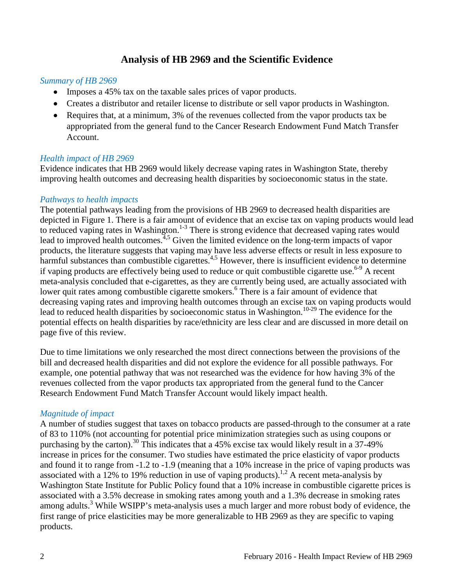# **Analysis of HB 2969 and the Scientific Evidence**

#### <span id="page-3-0"></span>*Summary of HB 2969*

- Imposes a 45% tax on the taxable sales prices of vapor products.
- Creates a distributor and retailer license to distribute or sell vapor products in Washington.
- Requires that, at a minimum, 3% of the revenues collected from the vapor products tax be appropriated from the general fund to the Cancer Research Endowment Fund Match Transfer Account.

#### *Health impact of HB 2969*

Evidence indicates that HB 2969 would likely decrease vaping rates in Washington State, thereby improving health outcomes and decreasing health disparities by socioeconomic status in the state.

#### *Pathways to health impacts*

The potential pathways leading from the provisions of HB 2969 to decreased health disparities are depicted in Figure 1. There is a fair amount of evidence that an excise tax on vaping products would lead to reduced vaping rates in Washington.<sup>1-3</sup> There is strong evidence that decreased vaping rates would lead to improved health outcomes.<sup>4,[5](#page-10-0)</sup> Given the limited evidence on the long-term impacts of vapor products, the literature suggests that vaping may have less adverse effects or result in less exposure to harmful substances than combustible cigarettes.<sup>[4,](#page-9-0)[5](#page-10-0)</sup> However, there is insufficient evidence to determine if vaping products are effectively being used to reduce or quit combustible cigarette use.<sup>6-9</sup> A recent meta-analysis concluded that e-cigarettes, as they are currently being used, are actually associated with lower quit rates among combustible cigarette smokers.<sup>6</sup> There is a fair amount of evidence that decreasing vaping rates and improving health outcomes through an excise tax on vaping products would lead to reduced health disparities by socioeconomic status in Washington.<sup>10-29</sup> The evidence for the potential effects on health disparities by race/ethnicity are less clear and are discussed in more detail on page five of this review.

Due to time limitations we only researched the most direct connections between the provisions of the bill and decreased health disparities and did not explore the evidence for all possible pathways. For example, one potential pathway that was not researched was the evidence for how having 3% of the revenues collected from the vapor products tax appropriated from the general fund to the Cancer Research Endowment Fund Match Transfer Account would likely impact health.

#### *Magnitude of impact*

A number of studies suggest that taxes on tobacco products are passed-through to the consumer at a rate of 83 to 110% (not accounting for potential price minimization strategies such as using coupons or purchasing by the carton).<sup>[30](#page-18-0)</sup> This indicates that a 45% excise tax would likely result in a 37-49% increase in prices for the consumer. Two studies have estimated the price elasticity of vapor products and found it to range from -1.2 to -1.9 (meaning that a 10% increase in the price of vaping products was associated with a 12% to 19% reduction in use of vaping products).<sup>[1,](#page-8-1)[2](#page-8-2)</sup> A recent meta-analysis by Washington State Institute for Public Policy found that a 10% increase in combustible cigarette prices is associated with a 3.5% decrease in smoking rates among youth and a 1.3% decrease in smoking rates among adults.<sup>3</sup> While WSIPP's meta-analysis uses a much larger and more robust body of evidence, the first range of price elasticities may be more generalizable to HB 2969 as they are specific to vaping products.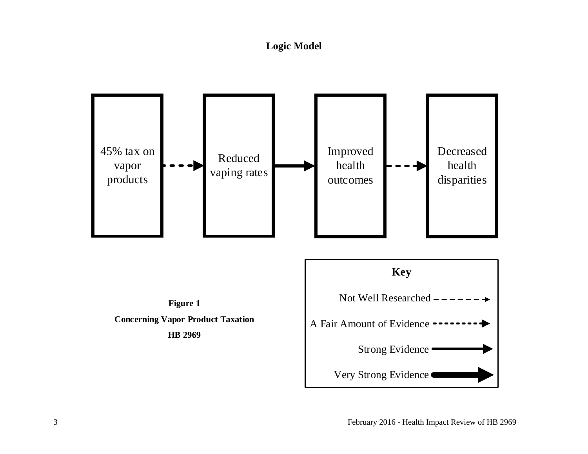# **Logic Model**

<span id="page-4-0"></span>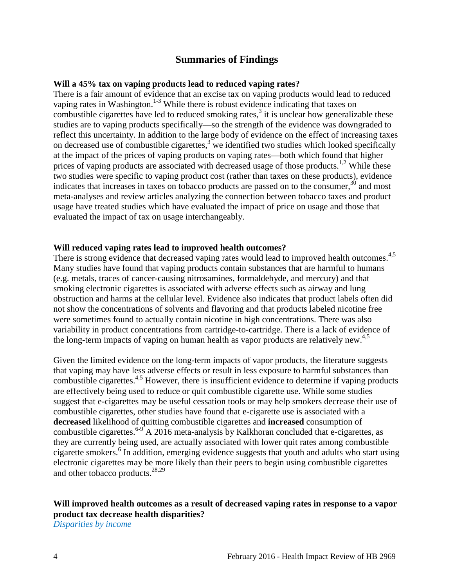# **Summaries of Findings**

#### <span id="page-5-0"></span>**Will a 45% tax on vaping products lead to reduced vaping rates?**

There is a fair amount of evidence that an excise tax on vaping products would lead to reduced vaping rates in Washington.<sup>1-3</sup> While there is robust evidence indicating that taxes on combustible cigarettes have led to reduced smoking rates, $3$  it is unclear how generalizable these studies are to vaping products specifically—so the strength of the evidence was downgraded to reflect this uncertainty. In addition to the large body of evidence on the effect of increasing taxes on decreased use of combustible cigarettes, $3\overline{ }$  $3\overline{ }$  we identified two studies which looked specifically at the impact of the prices of vaping products on vaping rates—both which found that higher prices of vaping products are associated with decreased usage of those products.<sup>1[,2](#page-8-2)</sup> While these two studies were specific to vaping product cost (rather than taxes on these products), evidence indicates that increases in taxes on tobacco products are passed on to the consumer, $30$  and most meta-analyses and review articles analyzing the connection between tobacco taxes and product usage have treated studies which have evaluated the impact of price on usage and those that evaluated the impact of tax on usage interchangeably.

#### **Will reduced vaping rates lead to improved health outcomes?**

There is strong evidence that decreased vaping rates would lead to improved health outcomes.<sup>4,[5](#page-10-0)</sup> Many studies have found that vaping products contain substances that are harmful to humans (e.g. metals, traces of cancer-causing nitrosamines, formaldehyde, and mercury) and that smoking electronic cigarettes is associated with adverse effects such as airway and lung obstruction and harms at the cellular level. Evidence also indicates that product labels often did not show the concentrations of solvents and flavoring and that products labeled nicotine free were sometimes found to actually contain nicotine in high concentrations. There was also variability in product concentrations from cartridge-to-cartridge. There is a lack of evidence of the long-term impacts of vaping on human health as vapor products are relatively new. $4.5$  $4.5$ 

Given the limited evidence on the long-term impacts of vapor products, the literature suggests that vaping may have less adverse effects or result in less exposure to harmful substances than combustible cigarettes.<sup>[4,](#page-9-0)[5](#page-10-0)</sup> However, there is insufficient evidence to determine if vaping products are effectively being used to reduce or quit combustible cigarette use. While some studies suggest that e-cigarettes may be useful cessation tools or may help smokers decrease their use of combustible cigarettes, other studies have found that e-cigarette use is associated with a **decreased** likelihood of quitting combustible cigarettes and **increased** consumption of combustible cigarettes.<sup>[6-9](#page-10-1)</sup> A 2016 meta-analysis by [Kalkhoran](javascript:void(0);) concluded that e-cigarettes, as they are currently being used, are actually associated with lower quit rates among combustible cigarette smokers.<sup>6</sup> In addition, emerging evidence suggests that youth and adults who start using electronic cigarettes may be more likely than their peers to begin using combustible cigarettes and other tobacco products.[28,](#page-17-0)[29](#page-18-1)

#### **Will improved health outcomes as a result of decreased vaping rates in response to a vapor product tax decrease health disparities?**

*Disparities by income*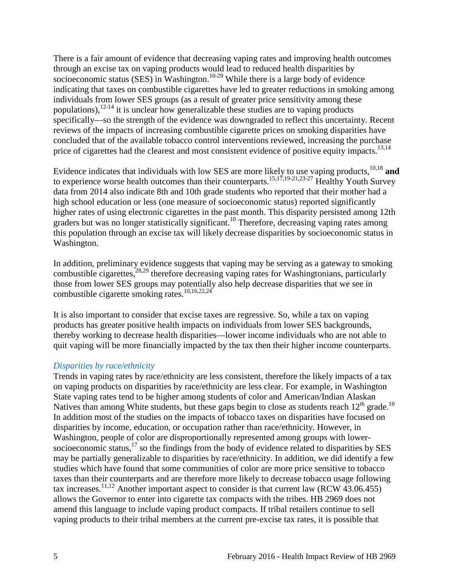There is a fair amount of evidence that decreasing vaping rates and improving health outcomes through an excise tax on vaping products would lead to reduced health disparities by socioeconomic status (SES) in Washington.<sup>10-29</sup> While there is a large body of evidence indicating that taxes on combustible cigarettes have led to greater reductions in smoking among individuals from lower SES groups (as a result of greater price sensitivity among these populations),  $12-14$  it is unclear how generalizable these studies are to vaping products specifically—so the strength of the evidence was downgraded to reflect this uncertainty. Recent reviews of the impacts of increasing combustible cigarette prices on smoking disparities have concluded that of the available tobacco control interventions reviewed, increasing the purchase price of cigarettes had the clearest and most consistent evidence of positive equity impacts.<sup>13[,14](#page-14-1)</sup>

Evidence indicates that individuals with low SES are more likely to use vaping products, [10,](#page-12-0)[18](#page-15-0) **and** to experience worse health outcomes than their counterparts.<sup>[15](#page-14-2)[,17](#page-15-1)[,19-21](#page-15-2)[,23-27](#page-16-0)</sup> Healthy Youth Survey data from 2014 also indicate 8th and 10th grade students who reported that their mother had a high school education or less (one measure of socioeconomic status) reported significantly higher rates of using electronic cigarettes in the past month. This disparity persisted among 12th graders but was no longer statistically significant.<sup>10</sup> Therefore, decreasing vaping rates among this population through an excise tax will likely decrease disparities by socioeconomic status in Washington.

In addition, preliminary evidence suggests that vaping may be serving as a gateway to smoking combustible cigarettes,<sup>[28,](#page-17-0)[29](#page-18-1)</sup> therefore decreasing vaping rates for Washingtonians, particularly those from lower SES groups may potentially also help decrease disparities that we see in combustible cigarette smoking rates.[10](#page-12-0)[,16](#page-15-3)[,22](#page-16-1)[,24](#page-16-2)

It is also important to consider that excise taxes are regressive. So, while a tax on vaping products has greater positive health impacts on individuals from lower SES backgrounds, thereby working to decrease health disparities—lower income individuals who are not able to quit vaping will be more financially impacted by the tax then their higher income counterparts.

#### *Disparities by race/ethnicity*

Trends in vaping rates by race/ethnicity are less consistent, therefore the likely impacts of a tax on vaping products on disparities by race/ethnicity are less clear. For example, in Washington State vaping rates tend to be higher among students of color and American/Indian Alaskan Natives than among White students, but these gaps begin to close as students reach  $12<sup>th</sup>$  grade.<sup>[10](#page-12-0)</sup> In addition most of the studies on the impacts of tobacco taxes on disparities have focused on disparities by income, education, or occupation rather than race/ethnicity. However, in Washington, people of color are disproportionally represented among groups with lowersocioeconomic status, $17$  so the findings from the body of evidence related to disparities by SES may be partially generalizable to disparities by race/ethnicity. In addition, we did identify a few studies which have found that some communities of color are more price sensitive to tobacco taxes than their counterparts and are therefore more likely to decrease tobacco usage following tax increases.<sup>[11,](#page-13-1)[12](#page-13-0)</sup> Another important aspect to consider is that current law (RCW 43.06.455) allows the Governor to enter into cigarette tax compacts with the tribes. HB 2969 does not amend this language to include vaping product compacts. If tribal retailers continue to sell vaping products to their tribal members at the current pre-excise tax rates, it is possible that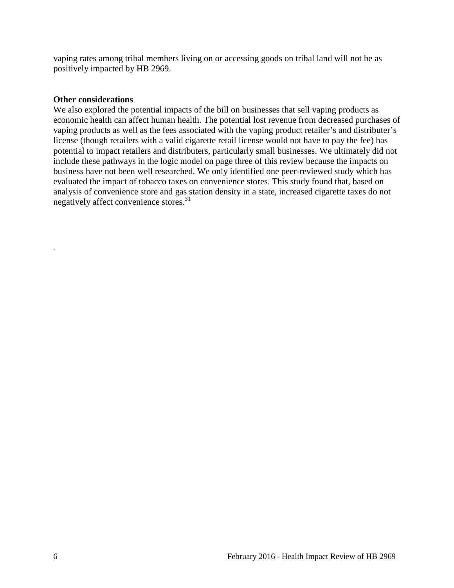vaping rates among tribal members living on or accessing goods on tribal land will not be as positively impacted by HB 2969.

#### **Other considerations**

We also explored the potential impacts of the bill on businesses that sell vaping products as economic health can affect human health. The potential lost revenue from decreased purchases of vaping products as well as the fees associated with the vaping product retailer's and distributer's license (though retailers with a valid cigarette retail license would not have to pay the fee) has potential to impact retailers and distributers, particularly small businesses. We ultimately did not include these pathways in the logic model on page three of this review because the impacts on business have not been well researched. We only identified one peer-reviewed study which has evaluated the impact of tobacco taxes on convenience stores. This study found that, based on analysis of convenience store and gas station density in a state, increased cigarette taxes do not negatively affect convenience stores.<sup>31</sup>

.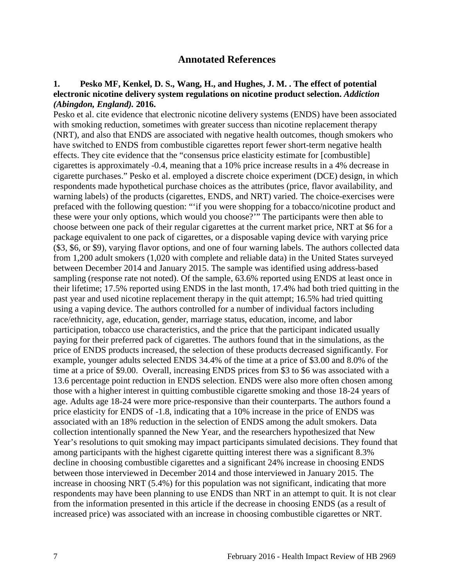#### **Annotated References**

#### <span id="page-8-1"></span><span id="page-8-0"></span>**1. Pesko MF, Kenkel, D. S., Wang, H., and Hughes, J. M. . The effect of potential electronic nicotine delivery system regulations on nicotine product selection.** *Addiction (Abingdon, England).* **2016.**

<span id="page-8-2"></span>Pesko et al. cite evidence that electronic nicotine delivery systems (ENDS) have been associated with smoking reduction, sometimes with greater success than nicotine replacement therapy (NRT), and also that ENDS are associated with negative health outcomes, though smokers who have switched to ENDS from combustible cigarettes report fewer short-term negative health effects. They cite evidence that the "consensus price elasticity estimate for [combustible] cigarettes is approximately -0.4, meaning that a 10% price increase results in a 4% decrease in cigarette purchases." Pesko et al. employed a discrete choice experiment (DCE) design, in which respondents made hypothetical purchase choices as the attributes (price, flavor availability, and warning labels) of the products (cigarettes, ENDS, and NRT) varied. The choice-exercises were prefaced with the following question: "'if you were shopping for a tobacco/nicotine product and these were your only options, which would you choose?'" The participants were then able to choose between one pack of their regular cigarettes at the current market price, NRT at \$6 for a package equivalent to one pack of cigarettes, or a disposable vaping device with varying price (\$3, \$6, or \$9), varying flavor options, and one of four warning labels. The authors collected data from 1,200 adult smokers (1,020 with complete and reliable data) in the United States surveyed between December 2014 and January 2015. The sample was identified using address-based sampling (response rate not noted). Of the sample, 63.6% reported using ENDS at least once in their lifetime; 17.5% reported using ENDS in the last month, 17.4% had both tried quitting in the past year and used nicotine replacement therapy in the quit attempt; 16.5% had tried quitting using a vaping device. The authors controlled for a number of individual factors including race/ethnicity, age, education, gender, marriage status, education, income, and labor participation, tobacco use characteristics, and the price that the participant indicated usually paying for their preferred pack of cigarettes. The authors found that in the simulations, as the price of ENDS products increased, the selection of these products decreased significantly. For example, younger adults selected ENDS 34.4% of the time at a price of \$3.00 and 8.0% of the time at a price of \$9.00. Overall, increasing ENDS prices from \$3 to \$6 was associated with a 13.6 percentage point reduction in ENDS selection. ENDS were also more often chosen among those with a higher interest in quitting combustible cigarette smoking and those 18-24 years of age. Adults age 18-24 were more price-responsive than their counterparts. The authors found a price elasticity for ENDS of -1.8, indicating that a 10% increase in the price of ENDS was associated with an 18% reduction in the selection of ENDS among the adult smokers. Data collection intentionally spanned the New Year, and the researchers hypothesized that New Year's resolutions to quit smoking may impact participants simulated decisions. They found that among participants with the highest cigarette quitting interest there was a significant 8.3% decline in choosing combustible cigarettes and a significant 24% increase in choosing ENDS between those interviewed in December 2014 and those interviewed in January 2015. The increase in choosing NRT (5.4%) for this population was not significant, indicating that more respondents may have been planning to use ENDS than NRT in an attempt to quit. It is not clear from the information presented in this article if the decrease in choosing ENDS (as a result of increased price) was associated with an increase in choosing combustible cigarettes or NRT.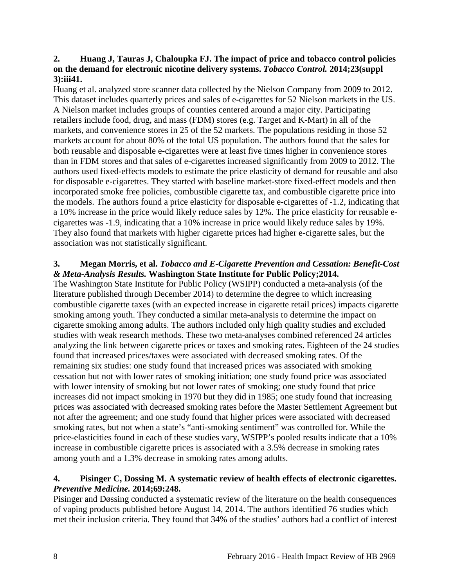#### **2. Huang J, Tauras J, Chaloupka FJ. The impact of price and tobacco control policies on the demand for electronic nicotine delivery systems.** *Tobacco Control.* **2014;23(suppl 3):iii41.**

Huang et al. analyzed store scanner data collected by the Nielson Company from 2009 to 2012. This dataset includes quarterly prices and sales of e-cigarettes for 52 Nielson markets in the US. A Nielson market includes groups of counties centered around a major city. Participating retailers include food, drug, and mass (FDM) stores (e.g. Target and K-Mart) in all of the markets, and convenience stores in 25 of the 52 markets. The populations residing in those 52 markets account for about 80% of the total US population. The authors found that the sales for both reusable and disposable e-cigarettes were at least five times higher in convenience stores than in FDM stores and that sales of e-cigarettes increased significantly from 2009 to 2012. The authors used fixed-effects models to estimate the price elasticity of demand for reusable and also for disposable e-cigarettes. They started with baseline market-store fixed-effect models and then incorporated smoke free policies, combustible cigarette tax, and combustible cigarette price into the models. The authors found a price elasticity for disposable e-cigarettes of -1.2, indicating that a 10% increase in the price would likely reduce sales by 12%. The price elasticity for reusable ecigarettes was -1.9, indicating that a 10% increase in price would likely reduce sales by 19%. They also found that markets with higher cigarette prices had higher e-cigarette sales, but the association was not statistically significant.

#### <span id="page-9-1"></span>**3. Megan Morris, et al.** *Tobacco and E-Cigarette Prevention and Cessation: Benefit-Cost & Meta-Analysis Results.* **Washington State Institute for Public Policy;2014.**

The Washington State Institute for Public Policy (WSIPP) conducted a meta-analysis (of the literature published through December 2014) to determine the degree to which increasing combustible cigarette taxes (with an expected increase in cigarette retail prices) impacts cigarette smoking among youth. They conducted a similar meta-analysis to determine the impact on cigarette smoking among adults. The authors included only high quality studies and excluded studies with weak research methods. These two meta-analyses combined referenced 24 articles analyzing the link between cigarette prices or taxes and smoking rates. Eighteen of the 24 studies found that increased prices/taxes were associated with decreased smoking rates. Of the remaining six studies: one study found that increased prices was associated with smoking cessation but not with lower rates of smoking initiation; one study found price was associated with lower intensity of smoking but not lower rates of smoking; one study found that price increases did not impact smoking in 1970 but they did in 1985; one study found that increasing prices was associated with decreased smoking rates before the Master Settlement Agreement but not after the agreement; and one study found that higher prices were associated with decreased smoking rates, but not when a state's "anti-smoking sentiment" was controlled for. While the price-elasticities found in each of these studies vary, WSIPP's pooled results indicate that a 10% increase in combustible cigarette prices is associated with a 3.5% decrease in smoking rates among youth and a 1.3% decrease in smoking rates among adults.

#### <span id="page-9-0"></span>**4. Pisinger C, Dossing M. A systematic review of health effects of electronic cigarettes.**  *Preventive Medicine.* **2014;69:248.**

Pisinger and Døssing conducted a systematic review of the literature on the health consequences of vaping products published before August 14, 2014. The authors identified 76 studies which met their inclusion criteria. They found that 34% of the studies' authors had a conflict of interest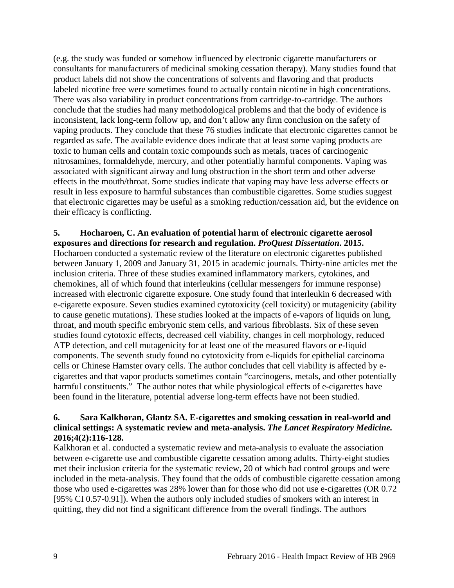(e.g. the study was funded or somehow influenced by electronic cigarette manufacturers or consultants for manufacturers of medicinal smoking cessation therapy). Many studies found that product labels did not show the concentrations of solvents and flavoring and that products labeled nicotine free were sometimes found to actually contain nicotine in high concentrations. There was also variability in product concentrations from cartridge-to-cartridge. The authors conclude that the studies had many methodological problems and that the body of evidence is inconsistent, lack long-term follow up, and don't allow any firm conclusion on the safety of vaping products. They conclude that these 76 studies indicate that electronic cigarettes cannot be regarded as safe. The available evidence does indicate that at least some vaping products are toxic to human cells and contain toxic compounds such as metals, traces of carcinogenic nitrosamines, formaldehyde, mercury, and other potentially harmful components. Vaping was associated with significant airway and lung obstruction in the short term and other adverse effects in the mouth/throat. Some studies indicate that vaping may have less adverse effects or result in less exposure to harmful substances than combustible cigarettes. Some studies suggest that electronic cigarettes may be useful as a smoking reduction/cessation aid, but the evidence on their efficacy is conflicting.

# <span id="page-10-0"></span>**5. Hocharoen, C. An evaluation of potential harm of electronic cigarette aerosol**

**exposures and directions for research and regulation.** *ProQuest Dissertation***. 2015.** Hocharoen conducted a systematic review of the literature on electronic cigarettes published between January 1, 2009 and January 31, 2015 in academic journals. Thirty-nine articles met the inclusion criteria. Three of these studies examined inflammatory markers, cytokines, and chemokines, all of which found that interleukins (cellular messengers for immune response) increased with electronic cigarette exposure. One study found that interleukin 6 decreased with e-cigarette exposure. Seven studies examined cytotoxicity (cell toxicity) or mutagenicity (ability to cause genetic mutations). These studies looked at the impacts of e-vapors of liquids on lung, throat, and mouth specific embryonic stem cells, and various fibroblasts. Six of these seven studies found cytotoxic effects, decreased cell viability, changes in cell morphology, reduced ATP detection, and cell mutagenicity for at least one of the measured flavors or e-liquid components. The seventh study found no cytotoxicity from e-liquids for epithelial carcinoma cells or Chinese Hamster ovary cells. The author concludes that cell viability is affected by ecigarettes and that vapor products sometimes contain "carcinogens, metals, and other potentially harmful constituents." The author notes that while physiological effects of e-cigarettes have been found in the literature, potential adverse long-term effects have not been studied.

#### <span id="page-10-1"></span>**6. Sara Kalkhoran, Glantz SA. E-cigarettes and smoking cessation in real-world and clinical settings: A systematic review and meta-analysis.** *The Lancet Respiratory Medicine.*  **2016;4(2):116-128.**

Kalkhoran et al. conducted a systematic review and meta-analysis to evaluate the association between e-cigarette use and combustible cigarette cessation among adults. Thirty-eight studies met their inclusion criteria for the systematic review, 20 of which had control groups and were included in the meta-analysis. They found that the odds of combustible cigarette cessation among those who used e-cigarettes was 28% lower than for those who did not use e-cigarettes (OR 0.72 [95% CI 0.57-0.91]). When the authors only included studies of smokers with an interest in quitting, they did not find a significant difference from the overall findings. The authors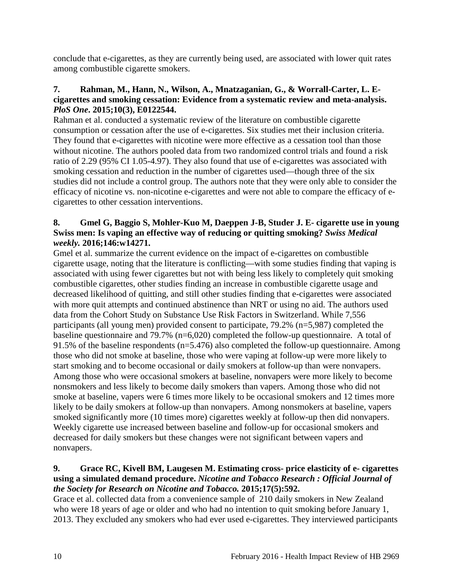conclude that e-cigarettes, as they are currently being used, are associated with lower quit rates among combustible cigarette smokers.

## **7. Rahman, M., Hann, N., Wilson, A., Mnatzaganian, G., & Worrall-Carter, L. Ecigarettes and smoking cessation: Evidence from a systematic review and meta-analysis.**  *PloS One***. 2015;10(3), E0122544.**

Rahman et al. conducted a systematic review of the literature on combustible cigarette consumption or cessation after the use of e-cigarettes. Six studies met their inclusion criteria. They found that e-cigarettes with nicotine were more effective as a cessation tool than those without nicotine. The authors pooled data from two randomized control trials and found a risk ratio of 2.29 (95% CI 1.05-4.97). They also found that use of e-cigarettes was associated with smoking cessation and reduction in the number of cigarettes used—though three of the six studies did not include a control group. The authors note that they were only able to consider the efficacy of nicotine vs. non-nicotine e-cigarettes and were not able to compare the efficacy of ecigarettes to other cessation interventions.

# **8. Gmel G, Baggio S, Mohler-Kuo M, Daeppen J-B, Studer J. E- cigarette use in young Swiss men: Is vaping an effective way of reducing or quitting smoking?** *Swiss Medical weekly.* **2016;146:w14271.**

Gmel et al. summarize the current evidence on the impact of e-cigarettes on combustible cigarette usage, noting that the literature is conflicting—with some studies finding that vaping is associated with using fewer cigarettes but not with being less likely to completely quit smoking combustible cigarettes, other studies finding an increase in combustible cigarette usage and decreased likelihood of quitting, and still other studies finding that e-cigarettes were associated with more quit attempts and continued abstinence than NRT or using no aid. The authors used data from the Cohort Study on Substance Use Risk Factors in Switzerland. While 7,556 participants (all young men) provided consent to participate, 79.2% (n=5,987) completed the baseline questionnaire and 79.7% (n=6,020) completed the follow-up questionnaire. A total of 91.5% of the baseline respondents (n=5.476) also completed the follow-up questionnaire. Among those who did not smoke at baseline, those who were vaping at follow-up were more likely to start smoking and to become occasional or daily smokers at follow-up than were nonvapers. Among those who were occasional smokers at baseline, nonvapers were more likely to become nonsmokers and less likely to become daily smokers than vapers. Among those who did not smoke at baseline, vapers were 6 times more likely to be occasional smokers and 12 times more likely to be daily smokers at follow-up than nonvapers. Among nonsmokers at baseline, vapers smoked significantly more (10 times more) cigarettes weekly at follow-up then did nonvapers. Weekly cigarette use increased between baseline and follow-up for occasional smokers and decreased for daily smokers but these changes were not significant between vapers and nonvapers.

# **9. Grace RC, Kivell BM, Laugesen M. Estimating cross- price elasticity of e- cigarettes using a simulated demand procedure.** *Nicotine and Tobacco Research : Official Journal of the Society for Research on Nicotine and Tobacco.* **2015;17(5):592.**

Grace et al. collected data from a convenience sample of 210 daily smokers in New Zealand who were 18 years of age or older and who had no intention to quit smoking before January 1, 2013. They excluded any smokers who had ever used e-cigarettes. They interviewed participants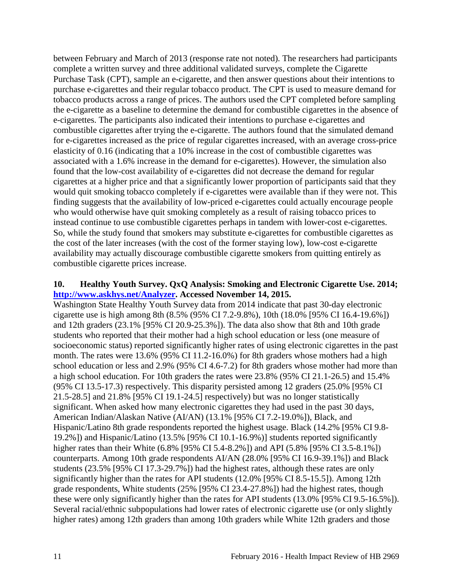between February and March of 2013 (response rate not noted). The researchers had participants complete a written survey and three additional validated surveys, complete the Cigarette Purchase Task (CPT), sample an e-cigarette, and then answer questions about their intentions to purchase e-cigarettes and their regular tobacco product. The CPT is used to measure demand for tobacco products across a range of prices. The authors used the CPT completed before sampling the e-cigarette as a baseline to determine the demand for combustible cigarettes in the absence of e-cigarettes. The participants also indicated their intentions to purchase e-cigarettes and combustible cigarettes after trying the e-cigarette. The authors found that the simulated demand for e-cigarettes increased as the price of regular cigarettes increased, with an average cross-price elasticity of 0.16 (indicating that a 10% increase in the cost of combustible cigarettes was associated with a 1.6% increase in the demand for e-cigarettes). However, the simulation also found that the low-cost availability of e-cigarettes did not decrease the demand for regular cigarettes at a higher price and that a significantly lower proportion of participants said that they would quit smoking tobacco completely if e-cigarettes were available than if they were not. This finding suggests that the availability of low-priced e-cigarettes could actually encourage people who would otherwise have quit smoking completely as a result of raising tobacco prices to instead continue to use combustible cigarettes perhaps in tandem with lower-cost e-cigarettes. So, while the study found that smokers may substitute e-cigarettes for combustible cigarettes as the cost of the later increases (with the cost of the former staying low), low-cost e-cigarette availability may actually discourage combustible cigarette smokers from quitting entirely as combustible cigarette prices increase.

#### <span id="page-12-0"></span>**10. Healthy Youth Survey. QxQ Analysis: Smoking and Electronic Cigarette Use. 2014; [http://www.askhys.net/Analyzer.](http://www.askhys.net/Analyzer) Accessed November 14, 2015.**

Washington State Healthy Youth Survey data from 2014 indicate that past 30-day electronic cigarette use is high among 8th (8.5% (95% CI 7.2-9.8%), 10th (18.0% [95% CI 16.4-19.6%]) and 12th graders (23.1% [95% CI 20.9-25.3%]). The data also show that 8th and 10th grade students who reported that their mother had a high school education or less (one measure of socioeconomic status) reported significantly higher rates of using electronic cigarettes in the past month. The rates were 13.6% (95% CI 11.2-16.0%) for 8th graders whose mothers had a high school education or less and 2.9% (95% CI 4.6-7.2) for 8th graders whose mother had more than a high school education. For 10th graders the rates were 23.8% (95% CI 21.1-26.5) and 15.4% (95% CI 13.5-17.3) respectively. This disparity persisted among 12 graders (25.0% [95% CI 21.5-28.5] and 21.8% [95% CI 19.1-24.5] respectively) but was no longer statistically significant. When asked how many electronic cigarettes they had used in the past 30 days, American Indian/Alaskan Native (AI/AN) (13.1% [95% CI 7.2-19.0%]), Black, and Hispanic/Latino 8th grade respondents reported the highest usage. Black (14.2% [95% CI 9.8- 19.2%]) and Hispanic/Latino (13.5% [95% CI 10.1-16.9%)] students reported significantly higher rates than their White (6.8% [95% CI 5.4-8.2%]) and API (5.8% [95% CI 3.5-8.1%]) counterparts. Among 10th grade respondents AI/AN (28.0% [95% CI 16.9-39.1%]) and Black students (23.5% [95% CI 17.3-29.7%]) had the highest rates, although these rates are only significantly higher than the rates for API students (12.0% [95% CI 8.5-15.5]). Among 12th grade respondents, White students (25% [95% CI 23.4-27.8%]) had the highest rates, though these were only significantly higher than the rates for API students (13.0% [95% CI 9.5-16.5%]). Several racial/ethnic subpopulations had lower rates of electronic cigarette use (or only slightly higher rates) among 12th graders than among 10th graders while White 12th graders and those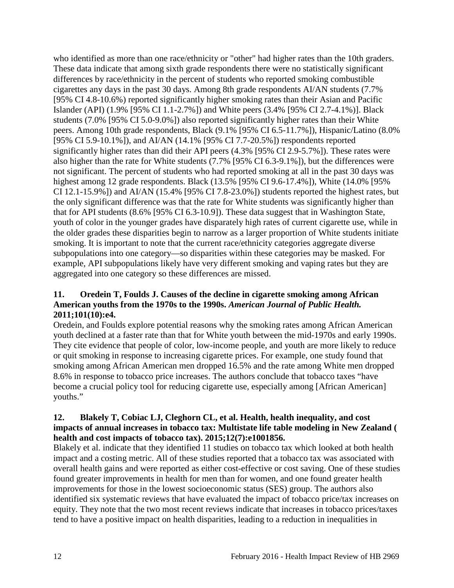who identified as more than one race/ethnicity or "other" had higher rates than the 10th graders. These data indicate that among sixth grade respondents there were no statistically significant differences by race/ethnicity in the percent of students who reported smoking combustible cigarettes any days in the past 30 days. Among 8th grade respondents AI/AN students (7.7% [95% CI 4.8-10.6%) reported significantly higher smoking rates than their Asian and Pacific Islander (API) (1.9% [95% CI 1.1-2.7%]) and White peers (3.4% [95% CI 2.7-4.1%)]. Black students (7.0% [95% CI 5.0-9.0%]) also reported significantly higher rates than their White peers. Among 10th grade respondents, Black (9.1% [95% CI 6.5-11.7%]), Hispanic/Latino (8.0% [95% CI 5.9-10.1%]), and AI/AN (14.1% [95% CI 7.7-20.5%]) respondents reported significantly higher rates than did their API peers (4.3% [95% CI 2.9-5.7%]). These rates were also higher than the rate for White students (7.7% [95% CI 6.3-9.1%]), but the differences were not significant. The percent of students who had reported smoking at all in the past 30 days was highest among 12 grade respondents. Black (13.5% [95% CI 9.6-17.4%]), White (14.0% [95% CI 12.1-15.9%]) and AI/AN (15.4% [95% CI 7.8-23.0%]) students reported the highest rates, but the only significant difference was that the rate for White students was significantly higher than that for API students (8.6% [95% CI 6.3-10.9]). These data suggest that in Washington State, youth of color in the younger grades have disparately high rates of current cigarette use, while in the older grades these disparities begin to narrow as a larger proportion of White students initiate smoking. It is important to note that the current race/ethnicity categories aggregate diverse subpopulations into one category—so disparities within these categories may be masked. For example, API subpopulations likely have very different smoking and vaping rates but they are aggregated into one category so these differences are missed.

## <span id="page-13-1"></span>**11. Oredein T, Foulds J. Causes of the decline in cigarette smoking among African American youths from the 1970s to the 1990s.** *American Journal of Public Health.*  **2011;101(10):e4.**

Oredein, and Foulds explore potential reasons why the smoking rates among African American youth declined at a faster rate than that for White youth between the mid-1970s and early 1990s. They cite evidence that people of color, low-income people, and youth are more likely to reduce or quit smoking in response to increasing cigarette prices. For example, one study found that smoking among African American men dropped 16.5% and the rate among White men dropped 8.6% in response to tobacco price increases. The authors conclude that tobacco taxes "have become a crucial policy tool for reducing cigarette use, especially among [African American] youths."

#### <span id="page-13-0"></span>**12. Blakely T, Cobiac LJ, Cleghorn CL, et al. Health, health inequality, and cost impacts of annual increases in tobacco tax: Multistate life table modeling in New Zealand ( health and cost impacts of tobacco tax). 2015;12(7):e1001856.**

Blakely et al. indicate that they identified 11 studies on tobacco tax which looked at both health impact and a costing metric. All of these studies reported that a tobacco tax was associated with overall health gains and were reported as either cost-effective or cost saving. One of these studies found greater improvements in health for men than for women, and one found greater health improvements for those in the lowest socioeconomic status (SES) group. The authors also identified six systematic reviews that have evaluated the impact of tobacco price/tax increases on equity. They note that the two most recent reviews indicate that increases in tobacco prices/taxes tend to have a positive impact on health disparities, leading to a reduction in inequalities in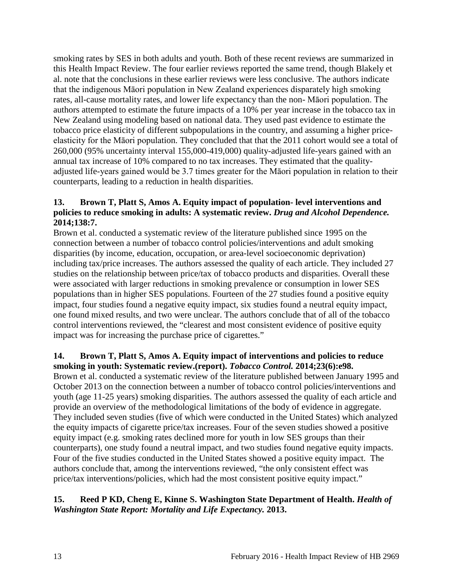smoking rates by SES in both adults and youth. Both of these recent reviews are summarized in this Health Impact Review. The four earlier reviews reported the same trend, though Blakely et al. note that the conclusions in these earlier reviews were less conclusive. The authors indicate that the indigenous Māori population in New Zealand experiences disparately high smoking rates, all-cause mortality rates, and lower life expectancy than the non- Māori population. The authors attempted to estimate the future impacts of a 10% per year increase in the tobacco tax in New Zealand using modeling based on national data. They used past evidence to estimate the tobacco price elasticity of different subpopulations in the country, and assuming a higher priceelasticity for the Māori population. They concluded that that the 2011 cohort would see a total of 260,000 (95% uncertainty interval 155,000-419,000) quality-adjusted life-years gained with an annual tax increase of 10% compared to no tax increases. They estimated that the qualityadjusted life-years gained would be 3.7 times greater for the Māori population in relation to their counterparts, leading to a reduction in health disparities.

### <span id="page-14-0"></span>**13. Brown T, Platt S, Amos A. Equity impact of population- level interventions and policies to reduce smoking in adults: A systematic review.** *Drug and Alcohol Dependence.*  **2014;138:7.**

Brown et al. conducted a systematic review of the literature published since 1995 on the connection between a number of tobacco control policies/interventions and adult smoking disparities (by income, education, occupation, or area-level socioeconomic deprivation) including tax/price increases. The authors assessed the quality of each article. They included 27 studies on the relationship between price/tax of tobacco products and disparities. Overall these were associated with larger reductions in smoking prevalence or consumption in lower SES populations than in higher SES populations. Fourteen of the 27 studies found a positive equity impact, four studies found a negative equity impact, six studies found a neutral equity impact, one found mixed results, and two were unclear. The authors conclude that of all of the tobacco control interventions reviewed, the "clearest and most consistent evidence of positive equity impact was for increasing the purchase price of cigarettes."

#### <span id="page-14-1"></span>**14. Brown T, Platt S, Amos A. Equity impact of interventions and policies to reduce smoking in youth: Systematic review.(report).** *Tobacco Control.* **2014;23(6):e98.**

Brown et al. conducted a systematic review of the literature published between January 1995 and October 2013 on the connection between a number of tobacco control policies/interventions and youth (age 11-25 years) smoking disparities. The authors assessed the quality of each article and provide an overview of the methodological limitations of the body of evidence in aggregate. They included seven studies (five of which were conducted in the United States) which analyzed the equity impacts of cigarette price/tax increases. Four of the seven studies showed a positive equity impact (e.g. smoking rates declined more for youth in low SES groups than their counterparts), one study found a neutral impact, and two studies found negative equity impacts. Four of the five studies conducted in the United States showed a positive equity impact. The authors conclude that, among the interventions reviewed, "the only consistent effect was price/tax interventions/policies, which had the most consistent positive equity impact."

# <span id="page-14-2"></span>**15. Reed P KD, Cheng E, Kinne S. Washington State Department of Health.** *Health of Washington State Report: Mortality and Life Expectancy.* **2013.**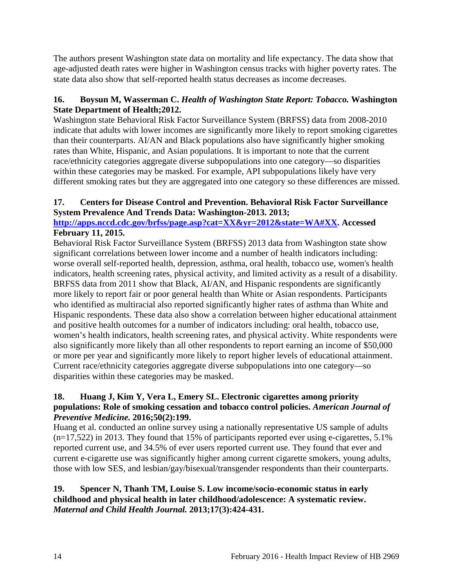The authors present Washington state data on mortality and life expectancy. The data show that age-adjusted death rates were higher in Washington census tracks with higher poverty rates. The state data also show that self-reported health status decreases as income decreases.

# <span id="page-15-3"></span>**16. Boysun M, Wasserman C.** *Health of Washington State Report: Tobacco.* **Washington State Department of Health;2012.**

Washington state Behavioral Risk Factor Surveillance System (BRFSS) data from 2008-2010 indicate that adults with lower incomes are significantly more likely to report smoking cigarettes than their counterparts. AI/AN and Black populations also have significantly higher smoking rates than White, Hispanic, and Asian populations. It is important to note that the current race/ethnicity categories aggregate diverse subpopulations into one category—so disparities within these categories may be masked. For example, API subpopulations likely have very different smoking rates but they are aggregated into one category so these differences are missed.

# <span id="page-15-1"></span>**17. Centers for Disease Control and Prevention. Behavioral Risk Factor Surveillance System Prevalence And Trends Data: Washington-2013. 2013;**

**[http://apps.nccd.cdc.gov/brfss/page.asp?cat=XX&yr=2012&state=WA#XX.](http://apps.nccd.cdc.gov/brfss/page.asp?cat=XX&yr=2012&state=WA%23XX) Accessed February 11, 2015.**

Behavioral Risk Factor Surveillance System (BRFSS) 2013 data from Washington state show significant correlations between lower income and a number of health indicators including: worse overall self-reported health, depression, asthma, oral health, tobacco use, women's health indicators, health screening rates, physical activity, and limited activity as a result of a disability. BRFSS data from 2011 show that Black, AI/AN, and Hispanic respondents are significantly more likely to report fair or poor general health than White or Asian respondents. Participants who identified as multiracial also reported significantly higher rates of asthma than White and Hispanic respondents. These data also show a correlation between higher educational attainment and positive health outcomes for a number of indicators including: oral health, tobacco use, women's health indicators, health screening rates, and physical activity. White respondents were also significantly more likely than all other respondents to report earning an income of \$50,000 or more per year and significantly more likely to report higher levels of educational attainment. Current race/ethnicity categories aggregate diverse subpopulations into one category—so disparities within these categories may be masked.

# <span id="page-15-0"></span>**18. Huang J, Kim Y, Vera L, Emery SL. Electronic cigarettes among priority populations: Role of smoking cessation and tobacco control policies.** *American Journal of Preventive Medicine.* **2016;50(2):199.**

Huang et al. conducted an online survey using a nationally representative US sample of adults  $(n=17,522)$  in 2013. They found that 15% of participants reported ever using e-cigarettes, 5.1% reported current use, and 34.5% of ever users reported current use. They found that ever and current e-cigarette use was significantly higher among current cigarette smokers, young adults, those with low SES, and lesbian/gay/bisexual/transgender respondents than their counterparts.

#### <span id="page-15-2"></span>**19. Spencer N, Thanh TM, Louise S. Low income/socio-economic status in early childhood and physical health in later childhood/adolescence: A systematic review.**  *Maternal and Child Health Journal.* **2013;17(3):424-431.**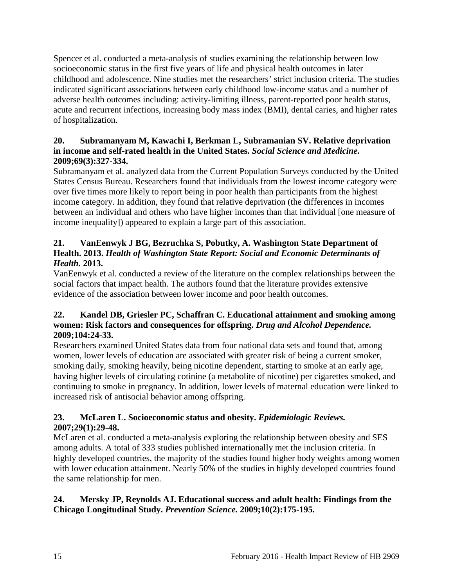Spencer et al. conducted a meta-analysis of studies examining the relationship between low socioeconomic status in the first five years of life and physical health outcomes in later childhood and adolescence. Nine studies met the researchers' strict inclusion criteria. The studies indicated significant associations between early childhood low-income status and a number of adverse health outcomes including: activity-limiting illness, parent-reported poor health status, acute and recurrent infections, increasing body mass index (BMI), dental caries, and higher rates of hospitalization.

### **20. Subramanyam M, Kawachi I, Berkman L, Subramanian SV. Relative deprivation in income and self-rated health in the United States.** *Social Science and Medicine.*  **2009;69(3):327-334.**

Subramanyam et al. analyzed data from the Current Population Surveys conducted by the United States Census Bureau. Researchers found that individuals from the lowest income category were over five times more likely to report being in poor health than participants from the highest income category. In addition, they found that relative deprivation (the differences in incomes between an individual and others who have higher incomes than that individual [one measure of income inequality]) appeared to explain a large part of this association.

# **21. VanEenwyk J BG, Bezruchka S, Pobutky, A. Washington State Department of Health. 2013.** *Health of Washington State Report: Social and Economic Determinants of Health.* **2013.**

VanEenwyk et al. conducted a review of the literature on the complex relationships between the social factors that impact health. The authors found that the literature provides extensive evidence of the association between lower income and poor health outcomes.

# <span id="page-16-1"></span>**22. Kandel DB, Griesler PC, Schaffran C. Educational attainment and smoking among women: Risk factors and consequences for offspring.** *Drug and Alcohol Dependence.*  **2009;104:24-33.**

Researchers examined United States data from four national data sets and found that, among women, lower levels of education are associated with greater risk of being a current smoker, smoking daily, smoking heavily, being nicotine dependent, starting to smoke at an early age, having higher levels of circulating cotinine (a metabolite of nicotine) per cigarettes smoked, and continuing to smoke in pregnancy. In addition, lower levels of maternal education were linked to increased risk of antisocial behavior among offspring.

# <span id="page-16-0"></span>**23. McLaren L. Socioeconomic status and obesity.** *Epidemiologic Reviews.*  **2007;29(1):29-48.**

McLaren et al. conducted a meta-analysis exploring the relationship between obesity and SES among adults. A total of 333 studies published internationally met the inclusion criteria. In highly developed countries, the majority of the studies found higher body weights among women with lower education attainment. Nearly 50% of the studies in highly developed countries found the same relationship for men.

# <span id="page-16-2"></span>**24. Mersky JP, Reynolds AJ. Educational success and adult health: Findings from the Chicago Longitudinal Study.** *Prevention Science.* **2009;10(2):175-195.**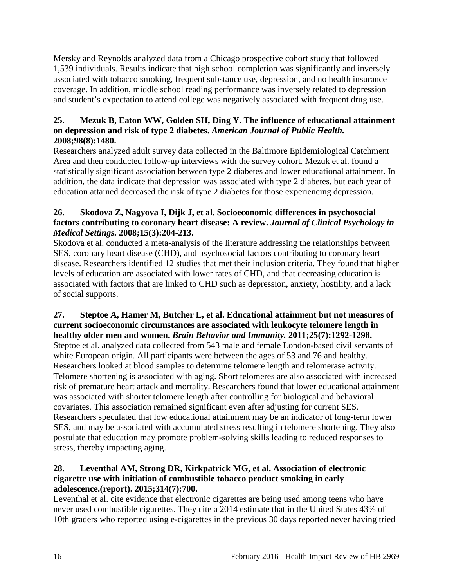Mersky and Reynolds analyzed data from a Chicago prospective cohort study that followed 1,539 individuals. Results indicate that high school completion was significantly and inversely associated with tobacco smoking, frequent substance use, depression, and no health insurance coverage. In addition, middle school reading performance was inversely related to depression and student's expectation to attend college was negatively associated with frequent drug use.

# **25. Mezuk B, Eaton WW, Golden SH, Ding Y. The influence of educational attainment on depression and risk of type 2 diabetes.** *American Journal of Public Health.*  **2008;98(8):1480.**

Researchers analyzed adult survey data collected in the Baltimore Epidemiological Catchment Area and then conducted follow-up interviews with the survey cohort. Mezuk et al. found a statistically significant association between type 2 diabetes and lower educational attainment. In addition, the data indicate that depression was associated with type 2 diabetes, but each year of education attained decreased the risk of type 2 diabetes for those experiencing depression.

# **26. Skodova Z, Nagyova I, Dijk J, et al. Socioeconomic differences in psychosocial factors contributing to coronary heart disease: A review.** *Journal of Clinical Psychology in Medical Settings.* **2008;15(3):204-213.**

Skodova et al. conducted a meta-analysis of the literature addressing the relationships between SES, coronary heart disease (CHD), and psychosocial factors contributing to coronary heart disease. Researchers identified 12 studies that met their inclusion criteria. They found that higher levels of education are associated with lower rates of CHD, and that decreasing education is associated with factors that are linked to CHD such as depression, anxiety, hostility, and a lack of social supports.

### **27. Steptoe A, Hamer M, Butcher L, et al. Educational attainment but not measures of current socioeconomic circumstances are associated with leukocyte telomere length in healthy older men and women.** *Brain Behavior and Immunity.* **2011;25(7):1292-1298.**

Steptoe et al. analyzed data collected from 543 male and female London-based civil servants of white European origin. All participants were between the ages of 53 and 76 and healthy. Researchers looked at blood samples to determine telomere length and telomerase activity. Telomere shortening is associated with aging. Short telomeres are also associated with increased risk of premature heart attack and mortality. Researchers found that lower educational attainment was associated with shorter telomere length after controlling for biological and behavioral covariates. This association remained significant even after adjusting for current SES. Researchers speculated that low educational attainment may be an indicator of long-term lower SES, and may be associated with accumulated stress resulting in telomere shortening. They also postulate that education may promote problem-solving skills leading to reduced responses to stress, thereby impacting aging.

# <span id="page-17-0"></span>**28. Leventhal AM, Strong DR, Kirkpatrick MG, et al. Association of electronic cigarette use with initiation of combustible tobacco product smoking in early adolescence.(report). 2015;314(7):700.**

Leventhal et al. cite evidence that electronic cigarettes are being used among teens who have never used combustible cigarettes. They cite a 2014 estimate that in the United States 43% of 10th graders who reported using e-cigarettes in the previous 30 days reported never having tried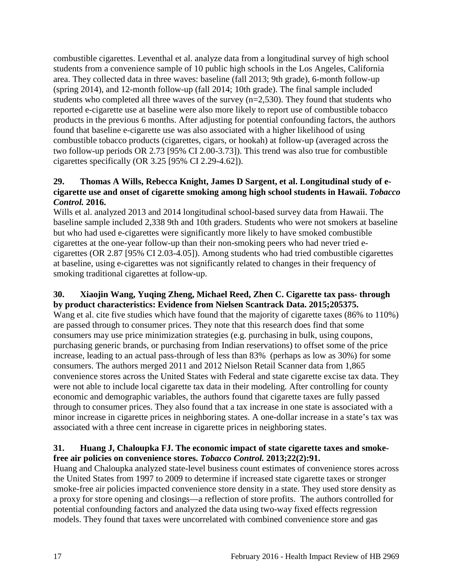combustible cigarettes. Leventhal et al. analyze data from a longitudinal survey of high school students from a convenience sample of 10 public high schools in the Los Angeles, California area. They collected data in three waves: baseline (fall 2013; 9th grade), 6-month follow-up (spring 2014), and 12-month follow-up (fall 2014; 10th grade). The final sample included students who completed all three waves of the survey (n=2,530). They found that students who reported e-cigarette use at baseline were also more likely to report use of combustible tobacco products in the previous 6 months. After adjusting for potential confounding factors, the authors found that baseline e-cigarette use was also associated with a higher likelihood of using combustible tobacco products (cigarettes, cigars, or hookah) at follow-up (averaged across the two follow-up periods OR 2.73 [95% CI 2.00-3.73]). This trend was also true for combustible cigarettes specifically (OR 3.25 [95% CI 2.29-4.62]).

#### <span id="page-18-1"></span>**29. Thomas A Wills, Rebecca Knight, James D Sargent, et al. Longitudinal study of ecigarette use and onset of cigarette smoking among high school students in Hawaii.** *Tobacco Control.* **2016.**

Wills et al. analyzed 2013 and 2014 longitudinal school-based survey data from Hawaii. The baseline sample included 2,338 9th and 10th graders. Students who were not smokers at baseline but who had used e-cigarettes were significantly more likely to have smoked combustible cigarettes at the one-year follow-up than their non-smoking peers who had never tried ecigarettes (OR 2.87 [95% CI 2.03-4.05]). Among students who had tried combustible cigarettes at baseline, using e-cigarettes was not significantly related to changes in their frequency of smoking traditional cigarettes at follow-up.

#### <span id="page-18-0"></span>**30. Xiaojin Wang, Yuqing Zheng, Michael Reed, Zhen C. Cigarette tax pass- through by product characteristics: Evidence from Nielsen Scantrack Data. 2015;205375.**

Wang et al. cite five studies which have found that the majority of cigarette taxes (86% to 110%) are passed through to consumer prices. They note that this research does find that some consumers may use price minimization strategies (e.g. purchasing in bulk, using coupons, purchasing generic brands, or purchasing from Indian reservations) to offset some of the price increase, leading to an actual pass-through of less than 83% (perhaps as low as 30%) for some consumers. The authors merged 2011 and 2012 Nielson Retail Scanner data from 1,865 convenience stores across the United States with Federal and state cigarette excise tax data. They were not able to include local cigarette tax data in their modeling. After controlling for county economic and demographic variables, the authors found that cigarette taxes are fully passed through to consumer prices. They also found that a tax increase in one state is associated with a minor increase in cigarette prices in neighboring states. A one-dollar increase in a state's tax was associated with a three cent increase in cigarette prices in neighboring states.

#### <span id="page-18-2"></span>**31. Huang J, Chaloupka FJ. The economic impact of state cigarette taxes and smokefree air policies on convenience stores.** *Tobacco Control.* **2013;22(2):91.**

Huang and Chaloupka analyzed state-level business count estimates of convenience stores across the United States from 1997 to 2009 to determine if increased state cigarette taxes or stronger smoke-free air policies impacted convenience store density in a state. They used store density as a proxy for store opening and closings—a reflection of store profits. The authors controlled for potential confounding factors and analyzed the data using two-way fixed effects regression models. They found that taxes were uncorrelated with combined convenience store and gas